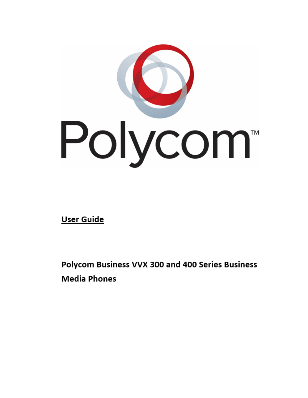

User Guide

Polycom Business VVX 300 and 400 Series Business **Media Phones**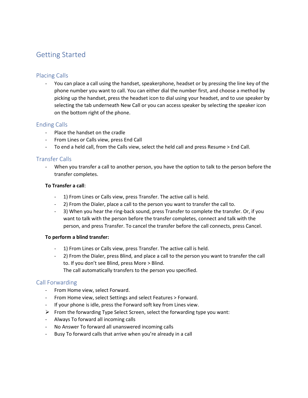# Getting Started

# Placing Calls

You can place a call using the handset, speakerphone, headset or by pressing the line key of the phone number you want to call. You can either dial the number first, and choose a method by picking up the handset, press the headset icon to dial using your headset, and to use speaker by selecting the tab underneath New Call or you can access speaker by selecting the speaker icon on the bottom right of the phone.

## Ending Calls

- Place the handset on the cradle
- From Lines or Calls view, press End Call
- To end a held call, from the Calls view, select the held call and press Resume > End Call.

## Transfer Calls

- When you transfer a call to another person, you have the option to talk to the person before the transfer completes.

#### **To Transfer a call**:

- 1) From Lines or Calls view, press Transfer. The active call is held.
- 2) From the Dialer, place a call to the person you want to transfer the call to.
- 3) When you hear the ring-back sound, press Transfer to complete the transfer. Or, if you want to talk with the person before the transfer completes, connect and talk with the person, and press Transfer. To cancel the transfer before the call connects, press Cancel.

#### **To perform a blind transfer:**

- 1) From Lines or Calls view, press Transfer. The active call is held.
- 2) From the Dialer, press Blind, and place a call to the person you want to transfer the call to. If you don't see Blind, press More > Blind.

The call automatically transfers to the person you specified.

## Call Forwarding

- From Home view, select Forward.
- From Home view, select Settings and select Features > Forward.
- If your phone is idle, press the Forward soft key from Lines view.
- $\triangleright$  From the forwarding Type Select Screen, select the forwarding type you want:
- Always To forward all incoming calls
- No Answer To forward all unanswered incoming calls
- Busy To forward calls that arrive when you're already in a call